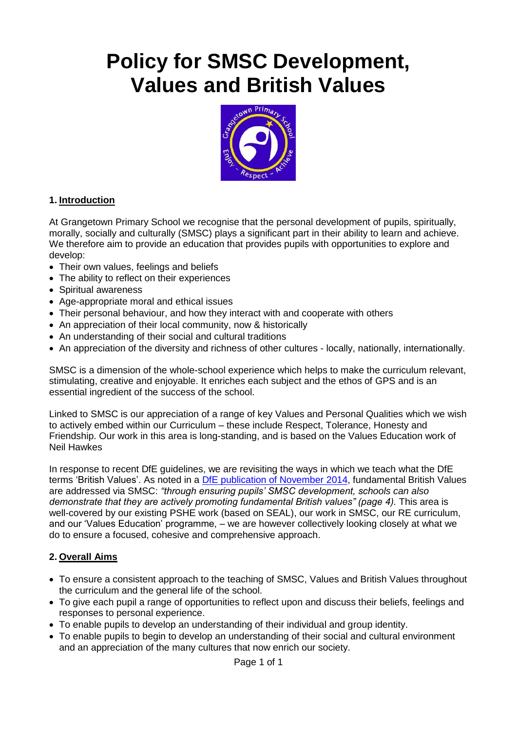# **Policy for SMSC Development, Values and British Values**



#### **1. Introduction**

At Grangetown Primary School we recognise that the personal development of pupils, spiritually, morally, socially and culturally (SMSC) plays a significant part in their ability to learn and achieve. We therefore aim to provide an education that provides pupils with opportunities to explore and develop:

- Their own values, feelings and beliefs
- The ability to reflect on their experiences
- Spiritual awareness
- Age-appropriate moral and ethical issues
- Their personal behaviour, and how they interact with and cooperate with others
- An appreciation of their local community, now & historically
- An understanding of their social and cultural traditions
- An appreciation of the diversity and richness of other cultures locally, nationally, internationally.

SMSC is a dimension of the whole-school experience which helps to make the curriculum relevant, stimulating, creative and enjoyable. It enriches each subject and the ethos of GPS and is an essential ingredient of the success of the school.

Linked to SMSC is our appreciation of a range of key Values and Personal Qualities which we wish to actively embed within our Curriculum – these include Respect, Tolerance, Honesty and Friendship. Our work in this area is long-standing, and is based on the Values Education work of Neil Hawkes

In response to recent DfE guidelines, we are revisiting the ways in which we teach what the DfE terms 'British Values'. As noted in a [DfE publication of November 2014,](http://www.grangetown.sunderland.sch.uk/docs/Governor_documents/DfE_Promoting_British_Values_through_SMSC.pdf) fundamental British Values are addressed via SMSC: *"through ensuring pupils' SMSC development, schools can also demonstrate that they are actively promoting fundamental British values" (page 4).* This area is well-covered by our existing PSHE work (based on SEAL), our work in SMSC, our RE curriculum, and our 'Values Education' programme, – we are however collectively looking closely at what we do to ensure a focused, cohesive and comprehensive approach.

#### **2. Overall Aims**

- To ensure a consistent approach to the teaching of SMSC, Values and British Values throughout the curriculum and the general life of the school.
- To give each pupil a range of opportunities to reflect upon and discuss their beliefs, feelings and responses to personal experience.
- To enable pupils to develop an understanding of their individual and group identity.
- To enable pupils to begin to develop an understanding of their social and cultural environment and an appreciation of the many cultures that now enrich our society.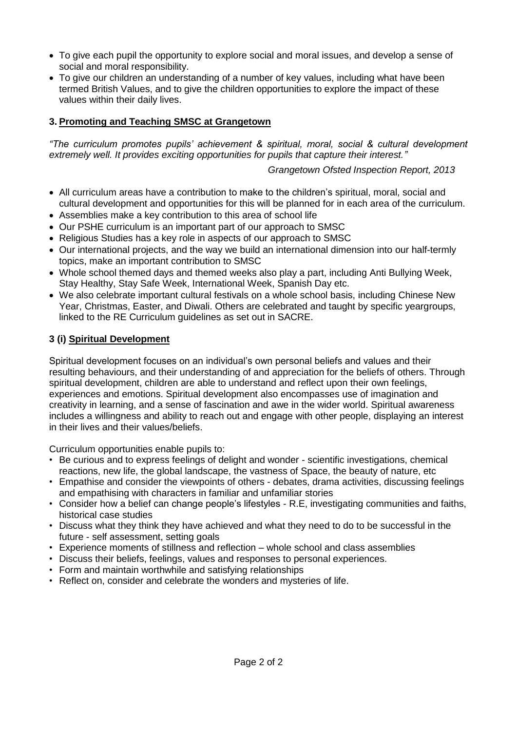- To give each pupil the opportunity to explore social and moral issues, and develop a sense of social and moral responsibility.
- To give our children an understanding of a number of key values, including what have been termed British Values, and to give the children opportunities to explore the impact of these values within their daily lives.

# **3. Promoting and Teaching SMSC at Grangetown**

*"The curriculum promotes pupils' achievement & spiritual, moral, social & cultural development extremely well. It provides exciting opportunities for pupils that capture their interest."*

# *Grangetown Ofsted Inspection Report, 2013*

- All curriculum areas have a contribution to make to the children's spiritual, moral, social and cultural development and opportunities for this will be planned for in each area of the curriculum.
- Assemblies make a key contribution to this area of school life
- Our PSHE curriculum is an important part of our approach to SMSC
- Religious Studies has a key role in aspects of our approach to SMSC
- Our international projects, and the way we build an international dimension into our half-termly topics, make an important contribution to SMSC
- Whole school themed days and themed weeks also play a part, including Anti Bullying Week, Stay Healthy, Stay Safe Week, International Week, Spanish Day etc.
- We also celebrate important cultural festivals on a whole school basis, including Chinese New Year, Christmas, Easter, and Diwali. Others are celebrated and taught by specific yeargroups, linked to the RE Curriculum guidelines as set out in SACRE.

# **3 (i) Spiritual Development**

Spiritual development focuses on an individual's own personal beliefs and values and their resulting behaviours, and their understanding of and appreciation for the beliefs of others. Through spiritual development, children are able to understand and reflect upon their own feelings, experiences and emotions. Spiritual development also encompasses use of imagination and creativity in learning, and a sense of fascination and awe in the wider world. Spiritual awareness includes a willingness and ability to reach out and engage with other people, displaying an interest in their lives and their values/beliefs.

Curriculum opportunities enable pupils to:

- Be curious and to express feelings of delight and wonder scientific investigations, chemical reactions, new life, the global landscape, the vastness of Space, the beauty of nature, etc
- Empathise and consider the viewpoints of others debates, drama activities, discussing feelings and empathising with characters in familiar and unfamiliar stories
- Consider how a belief can change people's lifestyles R.E, investigating communities and faiths, historical case studies
- Discuss what they think they have achieved and what they need to do to be successful in the future - self assessment, setting goals
- Experience moments of stillness and reflection whole school and class assemblies
- Discuss their beliefs, feelings, values and responses to personal experiences.
- Form and maintain worthwhile and satisfying relationships
- Reflect on, consider and celebrate the wonders and mysteries of life.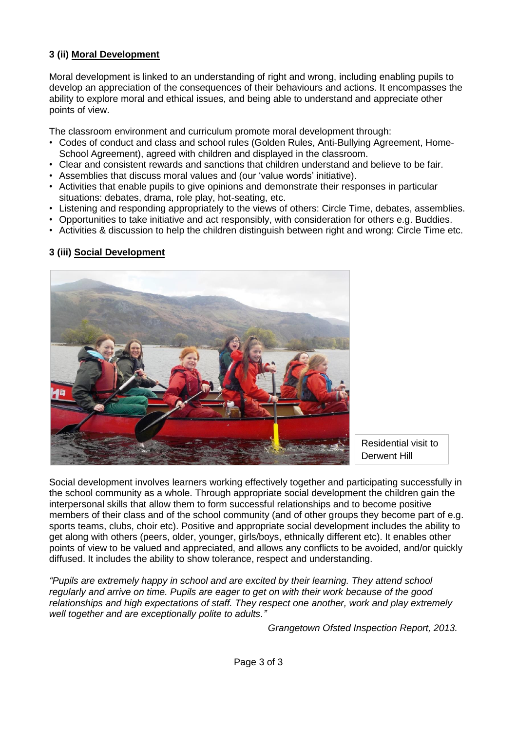# **3 (ii) Moral Development**

Moral development is linked to an understanding of right and wrong, including enabling pupils to develop an appreciation of the consequences of their behaviours and actions. It encompasses the ability to explore moral and ethical issues, and being able to understand and appreciate other points of view.

The classroom environment and curriculum promote moral development through:

- Codes of conduct and class and school rules (Golden Rules, Anti-Bullying Agreement, Home-School Agreement), agreed with children and displayed in the classroom.
- Clear and consistent rewards and sanctions that children understand and believe to be fair.
- Assemblies that discuss moral values and (our 'value words' initiative).
- Activities that enable pupils to give opinions and demonstrate their responses in particular situations: debates, drama, role play, hot-seating, etc.
- Listening and responding appropriately to the views of others: Circle Time, debates, assemblies.
- Opportunities to take initiative and act responsibly, with consideration for others e.g. Buddies.
- Activities & discussion to help the children distinguish between right and wrong: Circle Time etc.

# **3 (iii) Social Development**



Residential visit to Derwent Hill

Social development involves learners working effectively together and participating successfully in the school community as a whole. Through appropriate social development the children gain the interpersonal skills that allow them to form successful relationships and to become positive members of their class and of the school community (and of other groups they become part of e.g. sports teams, clubs, choir etc). Positive and appropriate social development includes the ability to get along with others (peers, older, younger, girls/boys, ethnically different etc). It enables other points of view to be valued and appreciated, and allows any conflicts to be avoided, and/or quickly diffused. It includes the ability to show tolerance, respect and understanding.

*"Pupils are extremely happy in school and are excited by their learning. They attend school regularly and arrive on time. Pupils are eager to get on with their work because of the good relationships and high expectations of staff. They respect one another, work and play extremely well together and are exceptionally polite to adults."*

*Grangetown Ofsted Inspection Report, 2013.*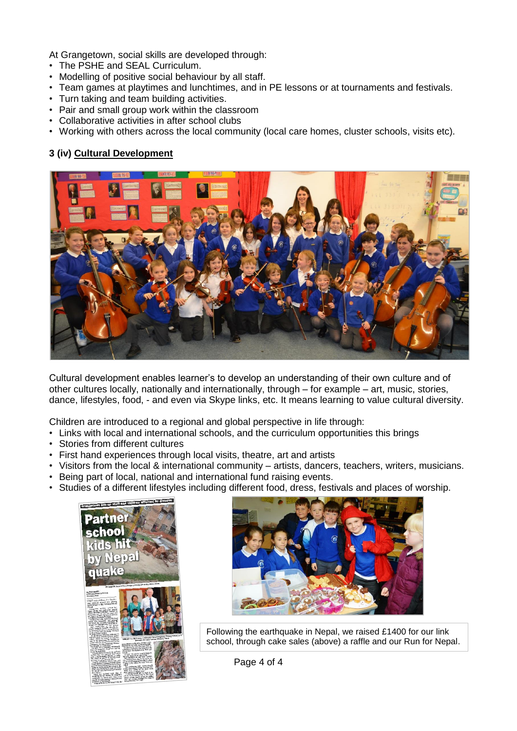At Grangetown, social skills are developed through:

- The PSHE and SEAL Curriculum.
- Modelling of positive social behaviour by all staff.
- Team games at playtimes and lunchtimes, and in PE lessons or at tournaments and festivals.
- Turn taking and team building activities.
- Pair and small group work within the classroom
- Collaborative activities in after school clubs
- Working with others across the local community (local care homes, cluster schools, visits etc).

#### **3 (iv) Cultural Development**



Cultural development enables learner's to develop an understanding of their own culture and of other cultures locally, nationally and internationally, through – for example – art, music, stories, dance, lifestyles, food, - and even via Skype links, etc. It means learning to value cultural diversity.

Children are introduced to a regional and global perspective in life through:

- Links with local and international schools, and the curriculum opportunities this brings
- Stories from different cultures
- First hand experiences through local visits, theatre, art and artists
- Visitors from the local & international community artists, dancers, teachers, writers, musicians.
- Being part of local, national and international fund raising events.
- Studies of a different lifestyles including different food, dress, festivals and places of worship.





Following the earthquake in Nepal, we raised £1400 for our link school, through cake sales (above) a raffle and our Run for Nepal.

Page 4 of 4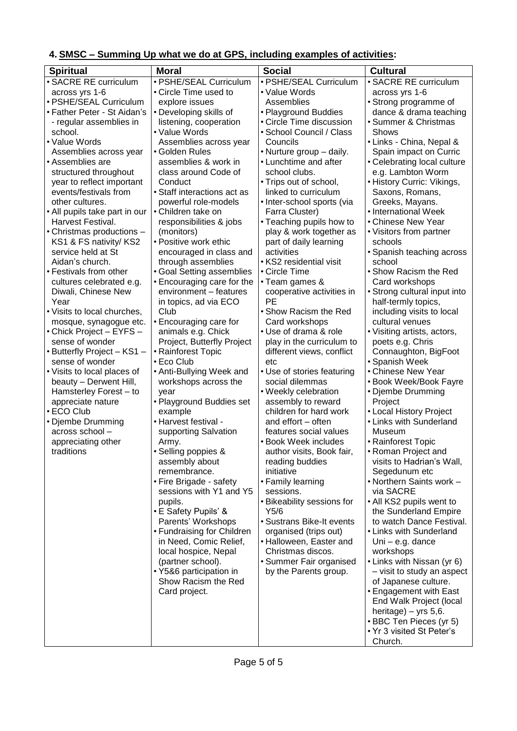# **4. SMSC – Summing Up what we do at GPS, including examples of activities:**

| <b>Spiritual</b>                                 | <b>Moral</b>                                    | <b>Social</b>                            | <b>Cultural</b>                                      |
|--------------------------------------------------|-------------------------------------------------|------------------------------------------|------------------------------------------------------|
| · SACRE RE curriculum                            | · PSHE/SEAL Curriculum                          | · PSHE/SEAL Curriculum                   | · SACRE RE curriculum                                |
| across yrs 1-6                                   | • Circle Time used to                           | • Value Words                            | across yrs 1-6                                       |
| · PSHE/SEAL Curriculum                           | explore issues                                  | Assemblies                               | • Strong programme of                                |
| • Father Peter - St Aidan's                      | • Developing skills of                          | • Playground Buddies                     | dance & drama teaching                               |
| - regular assemblies in                          | listening, cooperation                          | • Circle Time discussion                 | · Summer & Christmas                                 |
| school.<br>• Value Words                         | • Value Words                                   | • School Council / Class<br>Councils     | Shows                                                |
| Assemblies across year                           | Assemblies across year<br>• Golden Rules        | • Nurture group - daily.                 | • Links - China, Nepal &<br>Spain impact on Curric   |
| • Assemblies are                                 | assemblies & work in                            | • Lunchtime and after                    | • Celebrating local culture                          |
| structured throughout                            | class around Code of                            | school clubs.                            | e.g. Lambton Worm                                    |
| year to reflect important                        | Conduct                                         | • Trips out of school,                   | • History Curric: Vikings,                           |
| events/festivals from                            | • Staff interactions act as                     | linked to curriculum                     | Saxons, Romans,                                      |
| other cultures.                                  | powerful role-models                            | • Inter-school sports (via               | Greeks, Mayans.                                      |
| • All pupils take part in our                    | • Children take on                              | Farra Cluster)                           | • International Week                                 |
| Harvest Festival.                                | responsibilities & jobs                         | • Teaching pupils how to                 | • Chinese New Year                                   |
| • Christmas productions -                        | (monitors)                                      | play & work together as                  | • Visitors from partner                              |
| KS1 & FS nativity/ KS2                           | • Positive work ethic                           | part of daily learning                   | schools                                              |
| service held at St                               | encouraged in class and                         | activities                               | • Spanish teaching across                            |
| Aidan's church.<br>• Festivals from other        | through assemblies<br>• Goal Setting assemblies | • KS2 residential visit<br>• Circle Time | school<br>• Show Racism the Red                      |
| cultures celebrated e.g.                         | • Encouraging care for the                      | • Team games &                           | Card workshops                                       |
| Diwali, Chinese New                              | environment - features                          | cooperative activities in                | • Strong cultural input into                         |
| Year                                             | in topics, ad via ECO                           | PE                                       | half-termly topics,                                  |
| • Visits to local churches,                      | Club                                            | • Show Racism the Red                    | including visits to local                            |
| mosque, synagogue etc.                           | • Encouraging care for                          | Card workshops                           | cultural venues                                      |
| • Chick Project - EYFS -                         | animals e.g. Chick                              | • Use of drama & role                    | · Visiting artists, actors,                          |
| sense of wonder                                  | Project, Butterfly Project                      | play in the curriculum to                | poets e.g. Chris                                     |
| • Butterfly Project - KS1 -                      | • Rainforest Topic                              | different views, conflict                | Connaughton, BigFoot                                 |
| sense of wonder                                  | $\cdot$ Eco Club                                | etc                                      | • Spanish Week                                       |
| • Visits to local places of                      | • Anti-Bullying Week and                        | • Use of stories featuring               | • Chinese New Year                                   |
| beauty - Derwent Hill,<br>Hamsterley Forest - to | workshops across the<br>year                    | social dilemmas<br>• Weekly celebration  | • Book Week/Book Fayre<br>• Djembe Drumming          |
| appreciate nature                                | • Playground Buddies set                        | assembly to reward                       | Project                                              |
| • ECO Club                                       | example                                         | children for hard work                   | • Local History Project                              |
| • Djembe Drumming                                | • Harvest festival -                            | and effort - often                       | • Links with Sunderland                              |
| across school-                                   | supporting Salvation                            | features social values                   | Museum                                               |
| appreciating other                               | Army.                                           | • Book Week includes                     | • Rainforest Topic                                   |
| traditions                                       | • Selling poppies &                             | author visits, Book fair,                | • Roman Project and                                  |
|                                                  | assembly about                                  | reading buddies                          | visits to Hadrian's Wall,                            |
|                                                  | remembrance.                                    | initiative                               | Segedunum etc                                        |
|                                                  | • Fire Brigade - safety                         | • Family learning                        | • Northern Saints work -                             |
|                                                  | sessions with Y1 and Y5                         | sessions.                                | via SACRE                                            |
|                                                  | pupils.<br>• E Safety Pupils' &                 | • Bikeability sessions for<br>Y5/6       | • All KS2 pupils went to<br>the Sunderland Empire    |
|                                                  | Parents' Workshops                              | • Sustrans Bike-It events                | to watch Dance Festival.                             |
|                                                  | • Fundraising for Children                      | organised (trips out)                    | • Links with Sunderland                              |
|                                                  | in Need, Comic Relief,                          | • Halloween, Easter and                  | Uni - e.g. dance                                     |
|                                                  | local hospice, Nepal                            | Christmas discos.                        | workshops                                            |
|                                                  | (partner school).                               | • Summer Fair organised                  | • Links with Nissan (yr 6)                           |
|                                                  | • Y5&6 participation in                         | by the Parents group.                    | - visit to study an aspect                           |
|                                                  | Show Racism the Red                             |                                          | of Japanese culture.                                 |
|                                                  | Card project.                                   |                                          | • Engagement with East                               |
|                                                  |                                                 |                                          | End Walk Project (local                              |
|                                                  |                                                 |                                          | heritage) – yrs $5,6$ .                              |
|                                                  |                                                 |                                          | • BBC Ten Pieces (yr 5)<br>• Yr 3 visited St Peter's |
|                                                  |                                                 |                                          | Church.                                              |
|                                                  |                                                 |                                          |                                                      |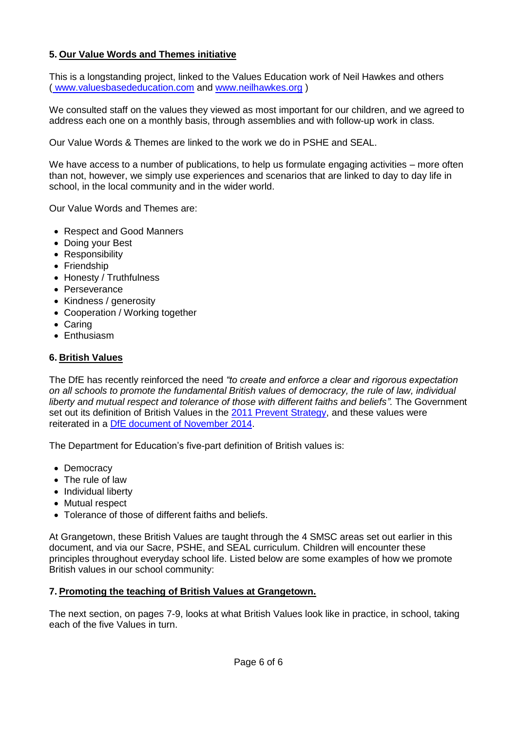# **5. Our Value Words and Themes initiative**

This is a longstanding project, linked to the Values Education work of Neil Hawkes and others ( www.valuesbasededucation.com and [www.neilhawkes.org](http://www.neilhawkes.org/) )

We consulted staff on the values they viewed as most important for our children, and we agreed to address each one on a monthly basis, through assemblies and with follow-up work in class.

Our Value Words & Themes are linked to the work we do in PSHE and SEAL.

We have access to a number of publications, to help us formulate engaging activities – more often than not, however, we simply use experiences and scenarios that are linked to day to day life in school, in the local community and in the wider world.

Our Value Words and Themes are:

- Respect and Good Manners
- Doing your Best
- Responsibility
- Friendship
- Honesty / Truthfulness
- Perseverance
- Kindness / generosity
- Cooperation / Working together
- Caring
- Enthusiasm

#### **6. British Values**

The DfE has recently reinforced the need *"to create and enforce a clear and rigorous expectation on all schools to promote the fundamental British values of democracy, the rule of law, individual liberty and mutual respect and tolerance of those with different faiths and beliefs".* The Government set out its definition of British Values in the [2011 Prevent Strategy,](http://www.grangetown.sunderland.sch.uk/docs/Governor_documents/prevent-strategy-review.pdf) and these values were reiterated in a [DfE document of November 2014.](http://www.grangetown.sunderland.sch.uk/docs/Governor_documents/DfE_Promoting_British_Values_through_SMSC.pdf)

The Department for Education's five-part definition of British values is:

- Democracy
- The rule of law
- Individual liberty
- Mutual respect
- Tolerance of those of different faiths and beliefs.

At Grangetown, these British Values are taught through the 4 SMSC areas set out earlier in this document, and via our Sacre, PSHE, and SEAL curriculum. Children will encounter these principles throughout everyday school life. Listed below are some examples of how we promote British values in our school community:

#### **7. Promoting the teaching of British Values at Grangetown.**

The next section, on pages 7-9, looks at what British Values look like in practice, in school, taking each of the five Values in turn.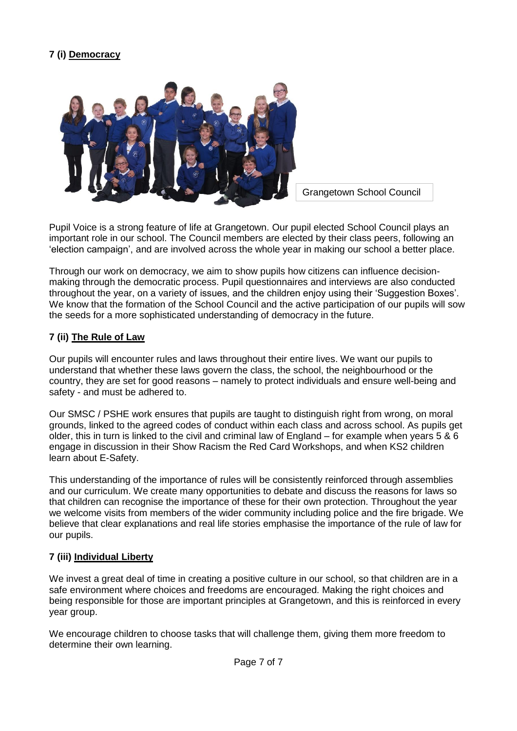# **7 (i) Democracy**



Grangetown School Council

Pupil Voice is a strong feature of life at Grangetown. Our pupil elected School Council plays an important role in our school. The Council members are elected by their class peers, following an 'election campaign', and are involved across the whole year in making our school a better place.

Through our work on democracy, we aim to show pupils how citizens can influence decisionmaking through the democratic process. Pupil questionnaires and interviews are also conducted throughout the year, on a variety of issues, and the children enjoy using their 'Suggestion Boxes'. We know that the formation of the School Council and the active participation of our pupils will sow the seeds for a more sophisticated understanding of democracy in the future.

#### **7 (ii) The Rule of Law**

Our pupils will encounter rules and laws throughout their entire lives. We want our pupils to understand that whether these laws govern the class, the school, the neighbourhood or the country, they are set for good reasons – namely to protect individuals and ensure well-being and safety - and must be adhered to.

Our SMSC / PSHE work ensures that pupils are taught to distinguish right from wrong, on moral grounds, linked to the agreed codes of conduct within each class and across school. As pupils get older, this in turn is linked to the civil and criminal law of England – for example when years 5 & 6 engage in discussion in their Show Racism the Red Card Workshops, and when KS2 children learn about E-Safety.

This understanding of the importance of rules will be consistently reinforced through assemblies and our curriculum. We create many opportunities to debate and discuss the reasons for laws so that children can recognise the importance of these for their own protection. Throughout the year we welcome visits from members of the wider community including police and the fire brigade. We believe that clear explanations and real life stories emphasise the importance of the rule of law for our pupils.

#### **7 (iii) Individual Liberty**

We invest a great deal of time in creating a positive culture in our school, so that children are in a safe environment where choices and freedoms are encouraged. Making the right choices and being responsible for those are important principles at Grangetown, and this is reinforced in every year group.

We encourage children to choose tasks that will challenge them, giving them more freedom to determine their own learning.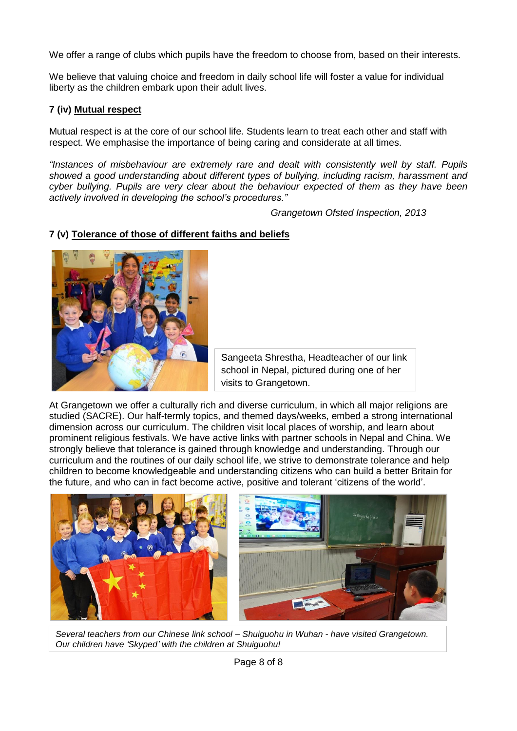We offer a range of clubs which pupils have the freedom to choose from, based on their interests.

We believe that valuing choice and freedom in daily school life will foster a value for individual liberty as the children embark upon their adult lives.

#### **7 (iv) Mutual respect**

Mutual respect is at the core of our school life. Students learn to treat each other and staff with respect. We emphasise the importance of being caring and considerate at all times.

*"Instances of misbehaviour are extremely rare and dealt with consistently well by staff. Pupils showed a good understanding about different types of bullying, including racism, harassment and cyber bullying. Pupils are very clear about the behaviour expected of them as they have been actively involved in developing the school's procedures."*

*Grangetown Ofsted Inspection, 2013*

#### **7 (v) Tolerance of those of different faiths and beliefs**



Sangeeta Shrestha, Headteacher of our link school in Nepal, pictured during one of her visits to Grangetown.

At Grangetown we offer a culturally rich and diverse curriculum, in which all major religions are studied (SACRE). Our half-termly topics, and themed days/weeks, embed a strong international dimension across our curriculum. The children visit local places of worship, and learn about prominent religious festivals. We have active links with partner schools in Nepal and China. We strongly believe that tolerance is gained through knowledge and understanding. Through our curriculum and the routines of our daily school life, we strive to demonstrate tolerance and help children to become knowledgeable and understanding citizens who can build a better Britain for the future, and who can in fact become active, positive and tolerant 'citizens of the world'.



*Several teachers from our Chinese link school – Shuiguohu in Wuhan - have visited Grangetown. Our children have 'Skyped' with the children at Shuiguohu!*